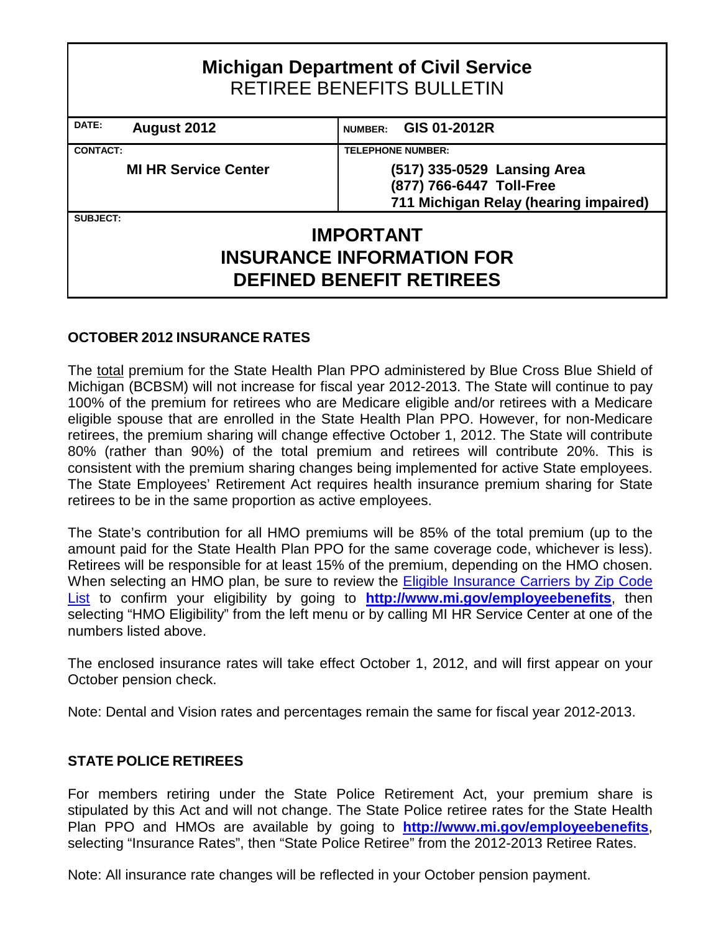| <b>Michigan Department of Civil Service</b><br><b>RETIREE BENEFITS BULLETIN</b> |                                       |  |  |  |  |  |  |  |  |  |  |
|---------------------------------------------------------------------------------|---------------------------------------|--|--|--|--|--|--|--|--|--|--|
| DATE:<br>GIS 01-2012R<br>August 2012<br><b>NUMBER:</b>                          |                                       |  |  |  |  |  |  |  |  |  |  |
| <b>CONTACT:</b><br><b>TELEPHONE NUMBER:</b>                                     |                                       |  |  |  |  |  |  |  |  |  |  |
| <b>MI HR Service Center</b>                                                     | (517) 335-0529 Lansing Area           |  |  |  |  |  |  |  |  |  |  |
|                                                                                 | (877) 766-6447 Toll-Free              |  |  |  |  |  |  |  |  |  |  |
|                                                                                 | 711 Michigan Relay (hearing impaired) |  |  |  |  |  |  |  |  |  |  |
| <b>SUBJECT:</b>                                                                 |                                       |  |  |  |  |  |  |  |  |  |  |
|                                                                                 | <b>IMPORTANT</b>                      |  |  |  |  |  |  |  |  |  |  |
| <b>INSURANCE INFORMATION FOR</b><br><b>DEFINED BENEFIT RETIREES</b>             |                                       |  |  |  |  |  |  |  |  |  |  |

# **OCTOBER 2012 INSURANCE RATES**

The total premium for the State Health Plan PPO administered by Blue Cross Blue Shield of Michigan (BCBSM) will not increase for fiscal year 2012-2013. The State will continue to pay 100% of the premium for retirees who are Medicare eligible and/or retirees with a Medicare eligible spouse that are enrolled in the State Health Plan PPO. However, for non-Medicare retirees, the premium sharing will change effective October 1, 2012. The State will contribute 80% (rather than 90%) of the total premium and retirees will contribute 20%. This is consistent with the premium sharing changes being implemented for active State employees. The State Employees' Retirement Act requires health insurance premium sharing for State retirees to be in the same proportion as active employees.

The State's contribution for all HMO premiums will be 85% of the total premium (up to the amount paid for the State Health Plan PPO for the same coverage code, whichever is less). Retirees will be responsible for at least 15% of the premium, depending on the HMO chosen. When selecting an HMO plan, be sure to review the **Eligible Insurance Carriers by Zip Code** [List](http://web1mdcs.state.mi.us/MCSCZIPCodesBenefits/InsuranceCodes.aspx) to confirm your eligibility by going to **<http://www.mi.gov/employeebenefits>**, then selecting "HMO Eligibility" from the left menu or by calling MI HR Service Center at one of the numbers listed above.

The enclosed insurance rates will take effect October 1, 2012, and will first appear on your October pension check.

Note: Dental and Vision rates and percentages remain the same for fiscal year 2012-2013.

# **STATE POLICE RETIREES**

For members retiring under the State Police Retirement Act, your premium share is stipulated by this Act and will not change. The State Police retiree rates for the State Health Plan PPO and HMOs are available by going to **<http://www.mi.gov/employeebenefits>**, selecting "Insurance Rates", then ["State Police Retiree"](http://www.michigan.gov/documents/mdcs/State_Police_Retiree_Rates_394620_7.pdf) from the 2012-2013 Retiree Rates.

Note: All insurance rate changes will be reflected in your October pension payment.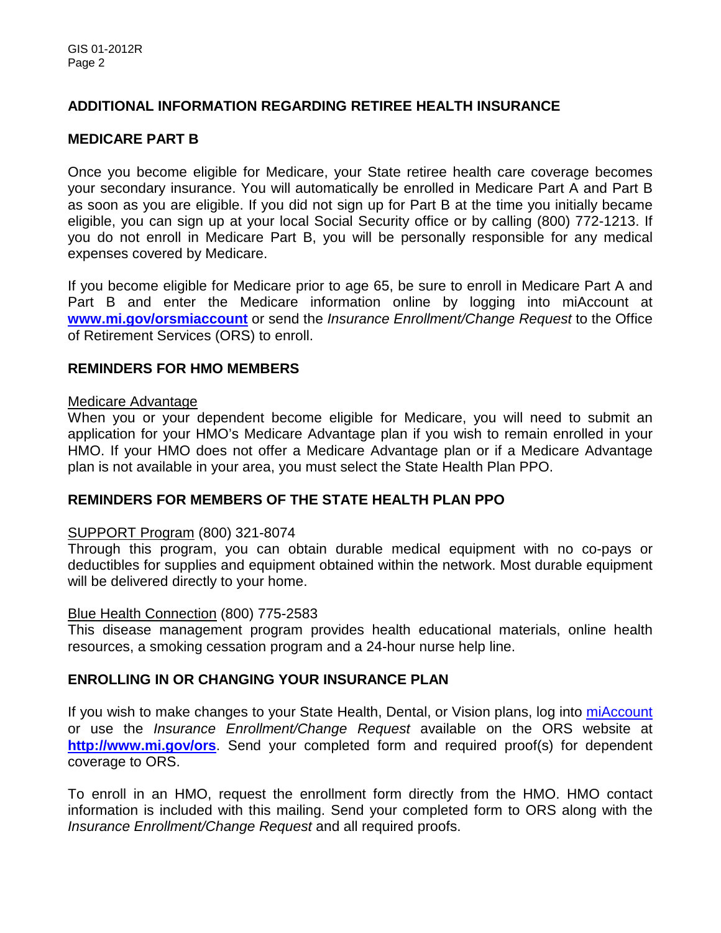# **ADDITIONAL INFORMATION REGARDING RETIREE HEALTH INSURANCE**

# **MEDICARE PART B**

Once you become eligible for Medicare, your State retiree health care coverage becomes your secondary insurance. You will automatically be enrolled in Medicare Part A and Part B as soon as you are eligible. If you did not sign up for Part B at the time you initially became eligible, you can sign up at your local Social Security office or by calling (800) 772-1213. If you do not enroll in Medicare Part B, you will be personally responsible for any medical expenses covered by Medicare.

If you become eligible for Medicare prior to age 65, be sure to enroll in Medicare Part A and Part B and enter the Medicare information online by logging into miAccount at **[www.mi.gov/orsmiaccount](http://www.mi.gov/orsmiaccount)** or send the *Insurance Enrollment/Change Request* to the Office of Retirement Services (ORS) to enroll.

# **REMINDERS FOR HMO MEMBERS**

#### Medicare Advantage

When you or your dependent become eligible for Medicare, you will need to submit an application for your HMO's Medicare Advantage plan if you wish to remain enrolled in your HMO. If your HMO does not offer a Medicare Advantage plan or if a Medicare Advantage plan is not available in your area, you must select the State Health Plan PPO.

# **REMINDERS FOR MEMBERS OF THE STATE HEALTH PLAN PPO**

#### SUPPORT Program (800) 321-8074

Through this program, you can obtain durable medical equipment with no co-pays or deductibles for supplies and equipment obtained within the network. Most durable equipment will be delivered directly to your home.

#### Blue Health Connection (800) 775-2583

This disease management program provides health educational materials, online health resources, a smoking cessation program and a 24-hour nurse help line.

#### **ENROLLING IN OR CHANGING YOUR INSURANCE PLAN**

If you wish to make changes to your State Health, Dental, or Vision plans, log into [miAccount](http://www.michigan.gov/orsmiaccount) or use the *Insurance Enrollment/Change Request* available on the ORS website at **<http://www.mi.gov/ors>**. Send your completed form and required proof(s) for dependent coverage to ORS.

To enroll in an HMO, request the enrollment form directly from the HMO. HMO contact information is included with this mailing. Send your completed form to ORS along with the *Insurance Enrollment/Change Request* and all required proofs.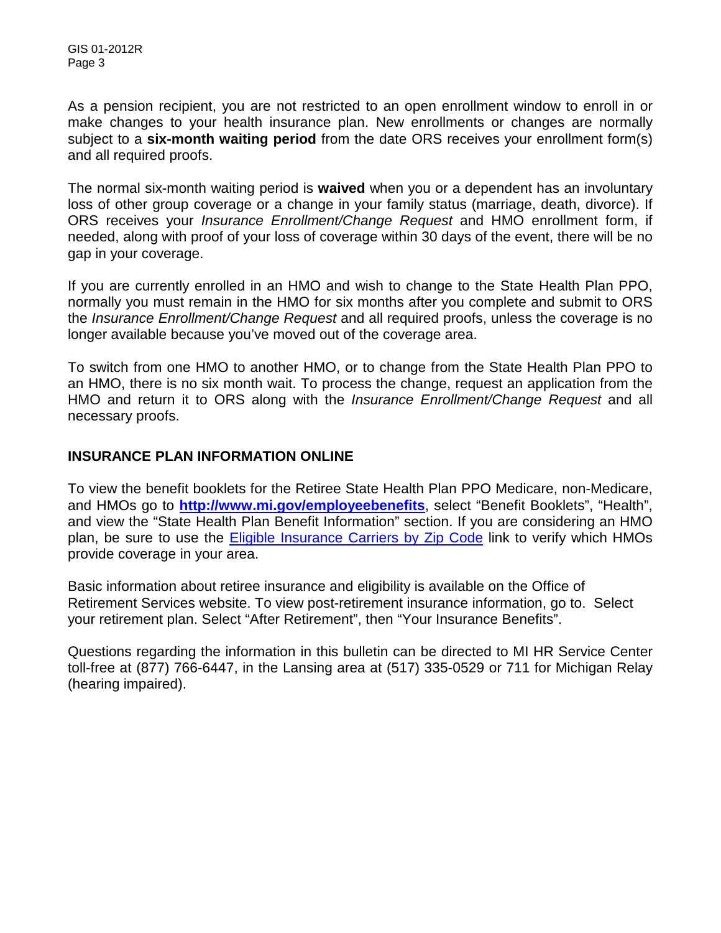As a pension recipient, you are not restricted to an open enrollment window to enroll in or make changes to your health insurance plan. New enrollments or changes are normally subject to a **six-month waiting period** from the date ORS receives your enrollment form(s) and all required proofs.

The normal six-month waiting period is **waived** when you or a dependent has an involuntary loss of other group coverage or a change in your family status (marriage, death, divorce). If ORS receives your *[Insurance Enrollment/Change Request](http://www.michigan.gov/documents/orsstatedb/R0452GH_244205_7.pdf)* and HMO enrollment form, if needed, along with proof of your loss of coverage within 30 days of the event, there will be no gap in your coverage.

If you are currently enrolled in an HMO and wish to change to the State Health Plan PPO, normally you must remain in the HMO for six months after you complete and submit to ORS the *Insurance Enrollment/Change Request* and all required proofs, unless the coverage is no longer available because you've moved out of the coverage area.

To switch from one HMO to another HMO, or to change from the State Health Plan PPO to an HMO, there is no six month wait. To process the change, request an application from the HMO and return it to ORS along with the *Insurance Enrollment/Change Request* and all necessary proofs.

# **INSURANCE PLAN INFORMATION ONLINE**

To view the benefit booklets for the Retiree State Health Plan PPO Medicare, non-Medicare, and HMOs go to **<http://www.mi.gov/employeebenefits>**, select "Benefit Booklets", "Health", and view the "State Health Plan Benefit Information" section. If you are considering an HMO plan, be sure to use the Eligible Insurance [Carriers by Zip Code](http://web1mdcs.state.mi.us/MCSCZIPCodesBenefits/InsuranceCodes.aspx) link to verify which HMOs provide coverage in your area.

Basic information about retiree insurance and eligibility is available on the Office of Retirement Services website. To view post-retirement insurance information, go to. Select your retirement plan. Select "After Retirement", then "Your Insurance Benefits".

Questions regarding the information in this bulletin can be directed to MI HR Service Center toll-free at (877) 766-6447, in the Lansing area at (517) 335-0529 or 711 for Michigan Relay (hearing impaired).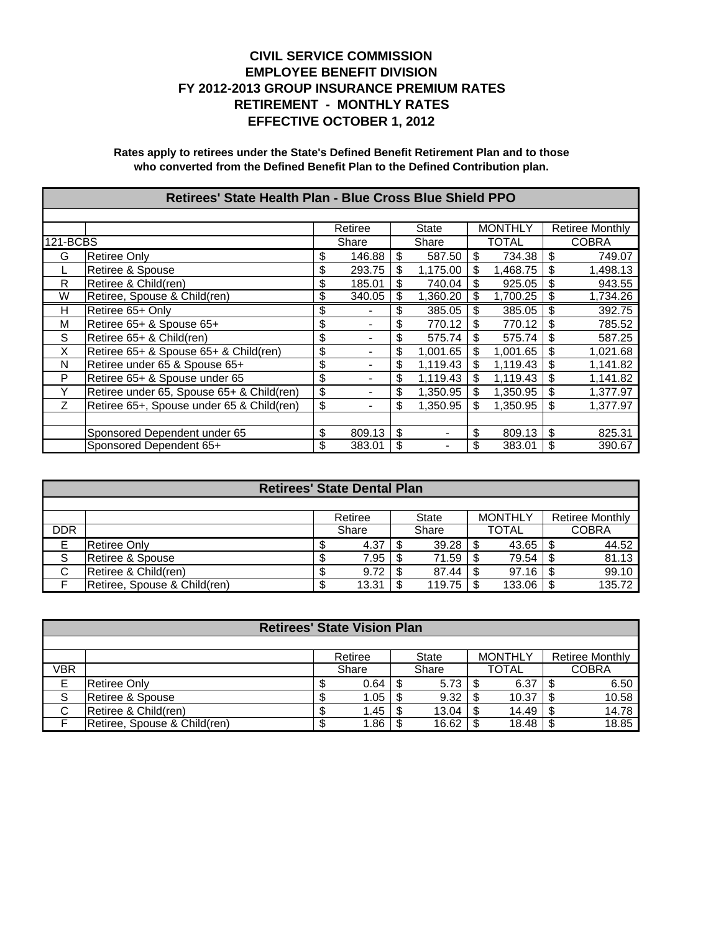|          | Retirees' State Health Plan - Blue Cross Blue Shield PPO |    |         |    |              |                |          |    |                 |  |  |  |
|----------|----------------------------------------------------------|----|---------|----|--------------|----------------|----------|----|-----------------|--|--|--|
|          |                                                          |    |         |    |              |                |          |    |                 |  |  |  |
|          |                                                          |    | Retiree |    | <b>State</b> | <b>MONTHLY</b> |          |    | Retiree Monthly |  |  |  |
| 121-BCBS |                                                          |    | Share   |    | Share        |                | TOTAL    |    | <b>COBRA</b>    |  |  |  |
| G        | <b>Retiree Only</b>                                      | \$ | 146.88  | \$ | 587.50       | \$             | 734.38   | \$ | 749.07          |  |  |  |
|          | Retiree & Spouse                                         |    | 293.75  | \$ | 1,175.00     | \$             | 1,468.75 | \$ | 1,498.13        |  |  |  |
| R        | Retiree & Child(ren)                                     | \$ | 185.01  | \$ | 740.04       | \$             | 925.05   | \$ | 943.55          |  |  |  |
| W        | Retiree, Spouse & Child(ren)                             | \$ | 340.05  | \$ | 1,360.20     | \$             | 1,700.25 | \$ | 1,734.26        |  |  |  |
| Н        | Retiree 65+ Only                                         | \$ |         | \$ | 385.05       | \$             | 385.05   | \$ | 392.75          |  |  |  |
| М        | Retiree 65+ & Spouse 65+                                 | \$ |         | \$ | 770.12       | \$             | 770.12   | \$ | 785.52          |  |  |  |
| S        | Retiree 65+ & Child(ren)                                 | \$ |         |    | 575.74       | \$             | 575.74   | \$ | 587.25          |  |  |  |
| X        | Retiree 65+ & Spouse 65+ & Child(ren)                    | \$ |         | \$ | 1,001.65     | \$             | 1,001.65 | \$ | 1,021.68        |  |  |  |
| N        | Retiree under 65 & Spouse 65+                            | \$ |         | \$ | 1,119.43     | \$             | 1,119.43 | \$ | 1,141.82        |  |  |  |
| P        | Retiree 65+ & Spouse under 65                            | \$ |         | \$ | 1,119.43     | \$             | 1.119.43 | \$ | 1,141.82        |  |  |  |
| Y        | Retiree under 65, Spouse 65+ & Child(ren)                | \$ |         |    | 1,350.95     | \$             | 1,350.95 | \$ | 1,377.97        |  |  |  |
| Z        | Retiree 65+, Spouse under 65 & Child(ren)                | \$ |         | \$ | 1.350.95     | \$             | 1.350.95 | \$ | 1.377.97        |  |  |  |
|          |                                                          |    |         |    |              |                |          |    |                 |  |  |  |
|          | Sponsored Dependent under 65                             | \$ | 809.13  | \$ |              | \$             | 809.13   | \$ | 825.31          |  |  |  |
|          | Sponsored Dependent 65+                                  | \$ | 383.01  | S  |              | \$             | 383.01   | \$ | 390.67          |  |  |  |

|            |                              |        | <b>Retirees' State Dental Plan</b> |       |        |              |                |                 |
|------------|------------------------------|--------|------------------------------------|-------|--------|--------------|----------------|-----------------|
|            |                              |        |                                    |       |        |              |                |                 |
|            |                              |        | Retiree                            |       | State  |              | <b>MONTHLY</b> | Retiree Monthly |
| <b>DDR</b> |                              |        | Share                              | Share |        | <b>TOTAL</b> |                | <b>COBRA</b>    |
| E          | IRetiree Onlv                | Œ      | 4.37                               |       | 39.28  |              | 43.65          | 44.52           |
| S          | Retiree & Spouse             | ъ      | 7.95                               | ∣S.   | 71.59  |              | 79.54          | 81.13           |
| С          | Retiree & Child(ren)         | ጥ<br>Œ | 9.72                               | - S   | 87.44  |              | 97.16          | 99.10           |
|            | Retiree, Spouse & Child(ren) | S      | 13.31                              |       | 119.75 |              | 133.06         | 135.72          |

|     | <b>Retirees' State Vision Plan</b> |    |         |      |              |  |                |  |                        |  |  |  |  |
|-----|------------------------------------|----|---------|------|--------------|--|----------------|--|------------------------|--|--|--|--|
|     |                                    |    |         |      |              |  |                |  |                        |  |  |  |  |
|     |                                    |    | Retiree |      | <b>State</b> |  | <b>MONTHLY</b> |  | <b>Retiree Monthly</b> |  |  |  |  |
| VBR |                                    |    | Share   |      | Share        |  | <b>TOTAL</b>   |  | <b>COBRA</b>           |  |  |  |  |
| Е   | IRetiree Onlv                      |    | 0.64    |      | 5.73         |  | 6.37           |  | 6.50                   |  |  |  |  |
| S   | Retiree & Spouse                   |    | 1.05    |      | 9.32         |  | 10.37          |  | 10.58                  |  |  |  |  |
| C   | Retiree & Child(ren)               | ۰D | 1.45    | - \$ | 13.04        |  | 14.49          |  | 14.78                  |  |  |  |  |
|     | Retiree, Spouse & Child(ren)       | ъD | 1.86    |      | 16.62        |  | 18.48          |  | 18.85                  |  |  |  |  |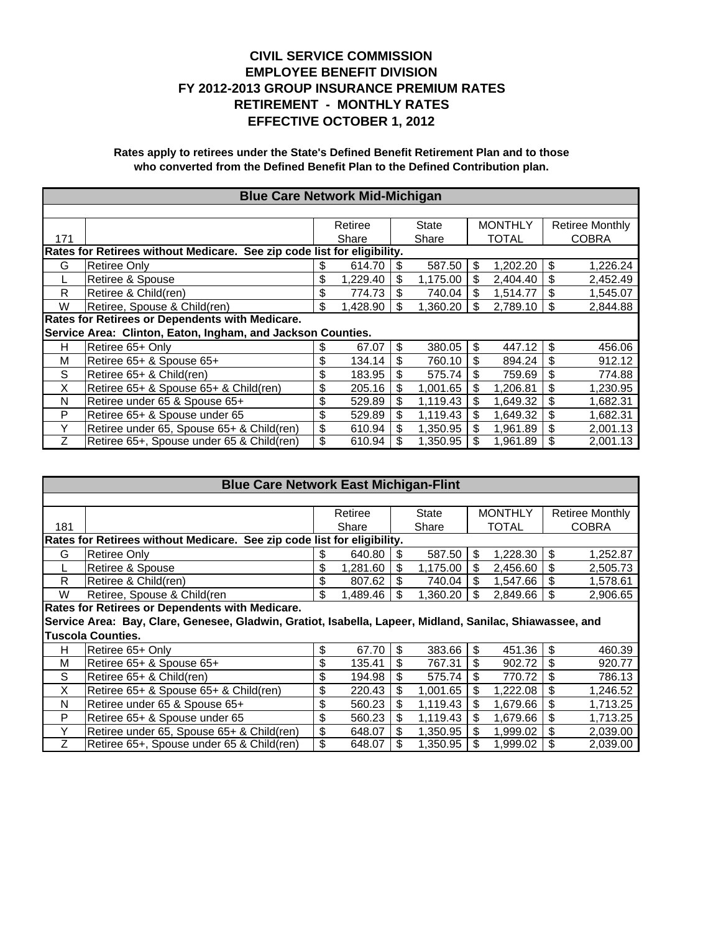|     | <b>Blue Care Network Mid-Michigan</b>                                   |    |          |     |          |                |              |    |                 |  |  |
|-----|-------------------------------------------------------------------------|----|----------|-----|----------|----------------|--------------|----|-----------------|--|--|
|     |                                                                         |    |          |     |          |                |              |    |                 |  |  |
|     |                                                                         |    | Retiree  |     | State    | <b>MONTHLY</b> |              |    | Retiree Monthly |  |  |
| 171 |                                                                         |    | Share    |     | Share    |                | <b>TOTAL</b> |    | <b>COBRA</b>    |  |  |
|     | Rates for Retirees without Medicare. See zip code list for eligibility. |    |          |     |          |                |              |    |                 |  |  |
| G   | Retiree Only                                                            | S  | 614.70   | \$  | 587.50   | \$             | 1,202.20     | \$ | 1,226.24        |  |  |
|     | Retiree & Spouse                                                        | \$ | 1.229.40 | \$  | 1,175.00 | \$             | 2,404.40     | \$ | 2,452.49        |  |  |
| R   | Retiree & Child(ren)                                                    | \$ | 774.73   |     | 740.04   | \$             | 1.514.77     | \$ | 1,545.07        |  |  |
| W   | Retiree, Spouse & Child(ren)                                            | \$ | 1,428.90 | \$  | 1,360.20 | \$             | 2,789.10     | \$ | 2,844.88        |  |  |
|     | Rates for Retirees or Dependents with Medicare.                         |    |          |     |          |                |              |    |                 |  |  |
|     | Service Area: Clinton, Eaton, Ingham, and Jackson Counties.             |    |          |     |          |                |              |    |                 |  |  |
| н   | Retiree 65+ Only                                                        | \$ | 67.07    | \$  | 380.05   | \$             | 447.12       | \$ | 456.06          |  |  |
| М   | Retiree 65+ & Spouse 65+                                                | \$ | 134.14   |     | 760.10   | \$             | 894.24       | \$ | 912.12          |  |  |
| S   | Retiree 65+ & Child(ren)                                                | \$ | 183.95   |     | 575.74   | \$             | 759.69       | \$ | 774.88          |  |  |
| X   | Retiree 65+ & Spouse 65+ & Child(ren)                                   | \$ | 205.16   | \$  | 1.001.65 | \$             | 1,206.81     | \$ | 1,230.95        |  |  |
| N   | Retiree under 65 & Spouse 65+                                           | \$ | 529.89   | \$  | 1.119.43 | \$             | 1.649.32     | \$ | 1,682.31        |  |  |
| P   | Retiree 65+ & Spouse under 65                                           | \$ | 529.89   | \$  | 1.119.43 | \$             | 1.649.32     | \$ | 1,682.31        |  |  |
| Y   | Retiree under 65, Spouse 65+ & Child(ren)                               | \$ | 610.94   | \$. | 1.350.95 | \$             | 1.961.89     | \$ | 2,001.13        |  |  |
| Ζ   | Retiree 65+, Spouse under 65 & Child(ren)                               | \$ | 610.94   |     | 1.350.95 | \$             | 1.961.89     | \$ | 2,001.13        |  |  |

|     | <b>Blue Care Network East Michigan-Flint</b>                                                             |    |          |       |          |                |              |    |                        |  |  |  |
|-----|----------------------------------------------------------------------------------------------------------|----|----------|-------|----------|----------------|--------------|----|------------------------|--|--|--|
|     |                                                                                                          |    |          |       |          |                |              |    |                        |  |  |  |
|     |                                                                                                          |    | Retiree  | State |          | <b>MONTHLY</b> |              |    | <b>Retiree Monthly</b> |  |  |  |
| 181 |                                                                                                          |    | Share    |       | Share    |                | <b>TOTAL</b> |    | <b>COBRA</b>           |  |  |  |
|     | Rates for Retirees without Medicare. See zip code list for eligibility.                                  |    |          |       |          |                |              |    |                        |  |  |  |
| G   | <b>Retiree Only</b>                                                                                      | \$ | 640.80   | \$    | 587.50   | \$             | 1,228.30     | \$ | 1,252.87               |  |  |  |
|     | Retiree & Spouse                                                                                         | \$ | 1,281.60 | \$    | 1,175.00 | \$             | 2,456.60     | \$ | 2,505.73               |  |  |  |
| R.  | Retiree & Child(ren)                                                                                     | \$ | 807.62   | \$    | 740.04   | \$             | 1,547.66     | \$ | 1,578.61               |  |  |  |
| W   | Retiree, Spouse & Child(ren                                                                              | \$ | 1,489.46 | \$    | 1,360.20 | \$             | 2,849.66     | \$ | 2,906.65               |  |  |  |
|     | Rates for Retirees or Dependents with Medicare.                                                          |    |          |       |          |                |              |    |                        |  |  |  |
|     | Service Area: Bay, Clare, Genesee, Gladwin, Gratiot, Isabella, Lapeer, Midland, Sanilac, Shiawassee, and |    |          |       |          |                |              |    |                        |  |  |  |
|     | <b>Tuscola Counties.</b>                                                                                 |    |          |       |          |                |              |    |                        |  |  |  |
| н   | Retiree 65+ Only                                                                                         | \$ | 67.70    | \$    | 383.66   | \$             | 451.36       | \$ | 460.39                 |  |  |  |
| M   | Retiree 65+ & Spouse 65+                                                                                 | \$ | 135.41   | \$    | 767.31   | \$             | 902.72       | \$ | 920.77                 |  |  |  |
| S   | Retiree 65+ & Child(ren)                                                                                 | \$ | 194.98   | \$    | 575.74   | \$             | 770.72       | \$ | 786.13                 |  |  |  |
| X   | Retiree 65+ & Spouse 65+ & Child(ren)                                                                    | \$ | 220.43   | \$    | 1,001.65 | \$             | 1,222.08     | \$ | 1,246.52               |  |  |  |
| N   | Retiree under 65 & Spouse 65+                                                                            | \$ | 560.23   | \$    | 1,119.43 | \$             | 1,679.66     | \$ | 1,713.25               |  |  |  |
| P   | Retiree 65+ & Spouse under 65                                                                            | \$ | 560.23   | \$    | 1,119.43 | \$             | 1,679.66     | \$ | 1,713.25               |  |  |  |
| Υ   | Retiree under 65, Spouse 65+ & Child(ren)                                                                | \$ | 648.07   | \$    | 1,350.95 | \$             | 1,999.02     | \$ | 2,039.00               |  |  |  |
| Ζ   | Retiree 65+, Spouse under 65 & Child(ren)                                                                | \$ | 648.07   | S     | 1,350.95 | \$             | 1,999.02     | \$ | 2,039.00               |  |  |  |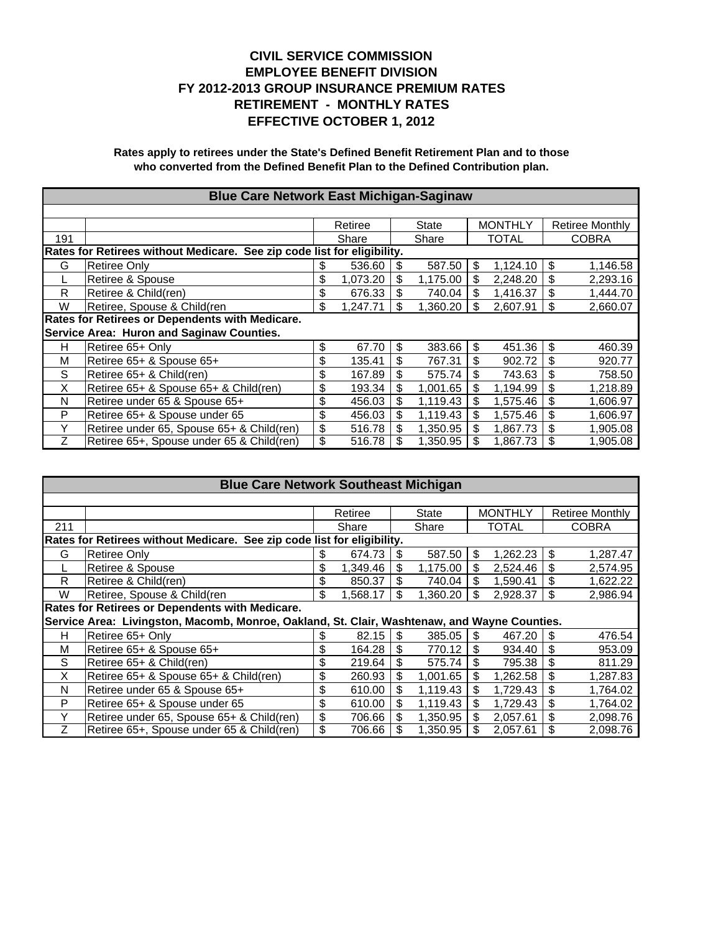|     | <b>Blue Care Network East Michigan-Saginaw</b>                          |    |          |    |          |    |                |    |                        |  |  |
|-----|-------------------------------------------------------------------------|----|----------|----|----------|----|----------------|----|------------------------|--|--|
|     |                                                                         |    |          |    |          |    |                |    |                        |  |  |
|     |                                                                         |    | Retiree  |    | State    |    | <b>MONTHLY</b> |    | <b>Retiree Monthly</b> |  |  |
| 191 |                                                                         |    | Share    |    | Share    |    | TOTAL          |    | <b>COBRA</b>           |  |  |
|     | Rates for Retirees without Medicare. See zip code list for eligibility. |    |          |    |          |    |                |    |                        |  |  |
| G   | <b>Retiree Only</b>                                                     | S  | 536.60   | \$ | 587.50   | \$ | 1,124.10       | \$ | 1,146.58               |  |  |
|     | <b>Retiree &amp; Spouse</b>                                             | \$ | 1,073.20 | \$ | 1,175.00 | \$ | 2,248.20       | \$ | 2,293.16               |  |  |
| R   | Retiree & Child(ren)                                                    | \$ | 676.33   | \$ | 740.04   | \$ | 1,416.37       | \$ | 1,444.70               |  |  |
| W   | Retiree, Spouse & Child(ren                                             | \$ | 1,247.71 | S  | 1,360.20 | \$ | 2,607.91       | \$ | 2,660.07               |  |  |
|     | Rates for Retirees or Dependents with Medicare.                         |    |          |    |          |    |                |    |                        |  |  |
|     | Service Area: Huron and Saginaw Counties.                               |    |          |    |          |    |                |    |                        |  |  |
| н   | Retiree 65+ Only                                                        | \$ | 67.70    | \$ | 383.66   | \$ | 451.36         | \$ | 460.39                 |  |  |
| M   | Retiree 65+ & Spouse 65+                                                | \$ | 135.41   | \$ | 767.31   | \$ | 902.72         | \$ | 920.77                 |  |  |
| S   | Retiree 65+ & Child(ren)                                                | \$ | 167.89   | S  | 575.74   | \$ | 743.63         | \$ | 758.50                 |  |  |
| X   | Retiree 65+ & Spouse 65+ & Child(ren)                                   | \$ | 193.34   | \$ | 1,001.65 | \$ | 1,194.99       | \$ | 1,218.89               |  |  |
| N   | Retiree under 65 & Spouse 65+                                           | \$ | 456.03   | \$ | 1,119.43 | \$ | 1.575.46       | \$ | 1.606.97               |  |  |
| P   | Retiree 65+ & Spouse under 65                                           | \$ | 456.03   |    | 1,119.43 | \$ | 1,575.46       | \$ | 1,606.97               |  |  |
| Y   | Retiree under 65, Spouse 65+ & Child(ren)                               | \$ | 516.78   | \$ | 1,350.95 | \$ | 1.867.73       | \$ | 1,905.08               |  |  |
| Z   | Retiree 65+, Spouse under 65 & Child(ren)                               | \$ | 516.78   |    | 1,350.95 | \$ | 1,867.73       | \$ | 1,905.08               |  |  |

|     | <b>Blue Care Network Southeast Michigan</b>                                                  |     |                                                       |     |          |    |              |    |              |  |  |
|-----|----------------------------------------------------------------------------------------------|-----|-------------------------------------------------------|-----|----------|----|--------------|----|--------------|--|--|
|     |                                                                                              |     |                                                       |     |          |    |              |    |              |  |  |
|     |                                                                                              |     | <b>MONTHLY</b><br>State<br>Retiree Monthly<br>Retiree |     |          |    |              |    |              |  |  |
| 211 |                                                                                              |     | Share                                                 |     | Share    |    | <b>TOTAL</b> |    | <b>COBRA</b> |  |  |
|     | Rates for Retirees without Medicare. See zip code list for eligibility.                      |     |                                                       |     |          |    |              |    |              |  |  |
| G   | <b>Retiree Only</b>                                                                          | \$  | 674.73                                                | \$  | 587.50   | \$ | 1,262.23     | \$ | 1,287.47     |  |  |
|     | Retiree & Spouse                                                                             | \$  | 1,349.46                                              | \$  | 1,175.00 | \$ | 2,524.46     | \$ | 2,574.95     |  |  |
| R   | Retiree & Child(ren)                                                                         | \$  | 850.37                                                | \$  | 740.04   | \$ | 1,590.41     | \$ | 1,622.22     |  |  |
| W   | Retiree, Spouse & Child(ren                                                                  | \$. | 1.568.17                                              | \$. | 1.360.20 | \$ | 2,928.37     | \$ | 2.986.94     |  |  |
|     | Rates for Retirees or Dependents with Medicare.                                              |     |                                                       |     |          |    |              |    |              |  |  |
|     | Service Area: Livingston, Macomb, Monroe, Oakland, St. Clair, Washtenaw, and Wayne Counties. |     |                                                       |     |          |    |              |    |              |  |  |
| Н   | Retiree 65+ Only                                                                             | S   | 82.15                                                 | -\$ | 385.05   | \$ | 467.20       | S  | 476.54       |  |  |
| м   | Retiree 65+ & Spouse 65+                                                                     | \$  | 164.28                                                |     | 770.12   | \$ | 934.40       | \$ | 953.09       |  |  |
| S   | Retiree 65+ & Child(ren)                                                                     | \$  | 219.64                                                |     | 575.74   | \$ | 795.38       | \$ | 811.29       |  |  |
| X   | Retiree 65+ & Spouse 65+ & Child(ren)                                                        | \$  | 260.93                                                | \$. | 1.001.65 | \$ | 1.262.58     | \$ | 1,287.83     |  |  |
| N   | Retiree under 65 & Spouse 65+                                                                | \$  | 610.00                                                | \$. | 1,119.43 | \$ | 1,729.43     | \$ | 1,764.02     |  |  |
| P   | Retiree 65+ & Spouse under 65                                                                | \$  | 610.00                                                | \$  | 1.119.43 | \$ | 1.729.43     | \$ | 1.764.02     |  |  |
| Υ   | Retiree under 65, Spouse 65+ & Child(ren)                                                    | \$  | 706.66                                                | \$. | 1,350.95 | \$ | 2,057.61     | \$ | 2,098.76     |  |  |
| Ζ   | Retiree 65+, Spouse under 65 & Child(ren)                                                    | \$  | 706.66                                                | \$  | 1,350.95 | \$ | 2,057.61     | \$ | 2,098.76     |  |  |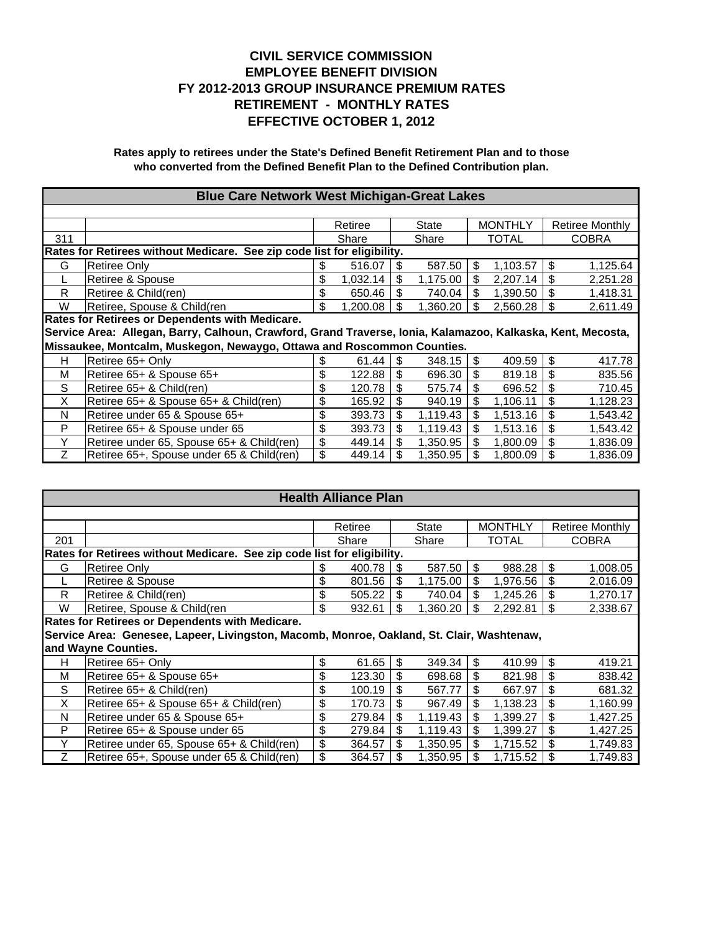| <b>Blue Care Network West Michigan-Great Lakes</b>                                                          |                                                                         |     |          |     |          |    |              |    |                        |  |
|-------------------------------------------------------------------------------------------------------------|-------------------------------------------------------------------------|-----|----------|-----|----------|----|--------------|----|------------------------|--|
|                                                                                                             |                                                                         |     |          |     |          |    |              |    |                        |  |
|                                                                                                             |                                                                         |     | Retiree  |     | State    |    | MONTHLY      |    | <b>Retiree Monthly</b> |  |
| 311                                                                                                         |                                                                         |     | Share    |     | Share    |    | <b>TOTAL</b> |    | <b>COBRA</b>           |  |
|                                                                                                             | Rates for Retirees without Medicare. See zip code list for eligibility. |     |          |     |          |    |              |    |                        |  |
| G                                                                                                           | <b>Retiree Only</b>                                                     | S   | 516.07   | \$. | 587.50   | \$ | 1,103.57     | \$ | 1,125.64               |  |
|                                                                                                             | Retiree & Spouse                                                        |     | 1,032.14 |     | 1,175.00 | \$ | 2,207.14     | \$ | 2,251.28               |  |
| R                                                                                                           | Retiree & Child(ren)                                                    |     | 650.46   |     | 740.04   | \$ | 1,390.50     | \$ | 1,418.31               |  |
| W                                                                                                           | Retiree, Spouse & Child(ren                                             | \$. | 1,200.08 | \$. | 1,360.20 | \$ | 2,560.28     | \$ | 2,611.49               |  |
|                                                                                                             | Rates for Retirees or Dependents with Medicare.                         |     |          |     |          |    |              |    |                        |  |
| Service Area: Allegan, Barry, Calhoun, Crawford, Grand Traverse, Ionia, Kalamazoo, Kalkaska, Kent, Mecosta, |                                                                         |     |          |     |          |    |              |    |                        |  |
| Missaukee, Montcalm, Muskegon, Newaygo, Ottawa and Roscommon Counties.                                      |                                                                         |     |          |     |          |    |              |    |                        |  |
|                                                                                                             |                                                                         |     |          |     |          |    |              |    |                        |  |
| H                                                                                                           | Retiree 65+ Only                                                        |     | 61.44    | \$  | 348.15   | \$ | 409.59       | \$ | 417.78                 |  |
| м                                                                                                           | Retiree 65+ & Spouse 65+                                                |     | 122.88   |     | 696.30   | \$ | 819.18       | \$ | 835.56                 |  |
| S                                                                                                           | Retiree 65+ & Child(ren)                                                | \$  | 120.78   | \$  | 575.74   | \$ | 696.52       | \$ | 710.45                 |  |
| X                                                                                                           | Retiree 65+ & Spouse 65+ & Child(ren)                                   | \$  | 165.92   | \$  | 940.19   | \$ | 1,106.11     | \$ | 1,128.23               |  |
| N                                                                                                           | Retiree under 65 & Spouse 65+                                           | \$  | 393.73   | \$  | 1,119.43 | \$ | 1,513.16     | \$ | 1,543.42               |  |
| P                                                                                                           | Retiree 65+ & Spouse under 65                                           | \$  | 393.73   | \$  | 1,119.43 | \$ | 1,513.16     | \$ | 1,543.42               |  |
| Y                                                                                                           | Retiree under 65, Spouse 65+ & Child(ren)                               | \$  | 449.14   | \$. | 1.350.95 | \$ | 1.800.09     | \$ | 1,836.09               |  |

|     | <b>Health Alliance Plan</b>                                                               |    |         |     |          |    |                |                 |              |  |  |  |
|-----|-------------------------------------------------------------------------------------------|----|---------|-----|----------|----|----------------|-----------------|--------------|--|--|--|
|     |                                                                                           |    |         |     |          |    |                |                 |              |  |  |  |
|     |                                                                                           |    | Retiree |     | State    |    | <b>MONTHLY</b> | Retiree Monthly |              |  |  |  |
| 201 |                                                                                           |    | Share   |     | Share    |    | <b>TOTAL</b>   |                 | <b>COBRA</b> |  |  |  |
|     | Rates for Retirees without Medicare. See zip code list for eligibility.                   |    |         |     |          |    |                |                 |              |  |  |  |
| G   | Retiree Only                                                                              | \$ | 400.78  | -\$ | 587.50   | \$ | 988.28         | \$              | 1,008.05     |  |  |  |
|     | Retiree & Spouse                                                                          | \$ | 801.56  | \$  | 1,175.00 | \$ | 1,976.56       | \$              | 2,016.09     |  |  |  |
| R   | Retiree & Child(ren)                                                                      | \$ | 505.22  | \$  | 740.04   | \$ | 1,245.26       | \$              | 1,270.17     |  |  |  |
| W   | Retiree, Spouse & Child(ren                                                               | \$ | 932.61  | S   | 1,360.20 | \$ | 2,292.81       | \$              | 2,338.67     |  |  |  |
|     | Rates for Retirees or Dependents with Medicare.                                           |    |         |     |          |    |                |                 |              |  |  |  |
|     | Service Area: Genesee, Lapeer, Livingston, Macomb, Monroe, Oakland, St. Clair, Washtenaw, |    |         |     |          |    |                |                 |              |  |  |  |
|     | and Wayne Counties.                                                                       |    |         |     |          |    |                |                 |              |  |  |  |
| н   | Retiree 65+ Only                                                                          | \$ | 61.65   | \$  | 349.34   | \$ | 410.99         | \$              | 419.21       |  |  |  |
| M   | Retiree 65+ & Spouse 65+                                                                  | \$ | 123.30  | \$  | 698.68   | \$ | 821.98         | \$              | 838.42       |  |  |  |
| S   | Retiree 65+ & Child(ren)                                                                  | \$ | 100.19  | \$  | 567.77   | \$ | 667.97         | \$              | 681.32       |  |  |  |
| X   | Retiree 65+ & Spouse 65+ & Child(ren)                                                     | \$ | 170.73  | \$  | 967.49   | \$ | 1,138.23       | \$              | 1,160.99     |  |  |  |
| N   | Retiree under 65 & Spouse 65+                                                             | \$ | 279.84  | \$  | 1,119.43 | \$ | 1,399.27       | \$              | 1,427.25     |  |  |  |
| P   | Retiree 65+ & Spouse under 65                                                             | \$ | 279.84  | \$  | 1,119.43 | \$ | 1,399.27       | \$              | 1,427.25     |  |  |  |
| Υ   | Retiree under 65, Spouse 65+ & Child(ren)                                                 | \$ | 364.57  | \$  | 1,350.95 | \$ | 1,715.52       | \$              | 1,749.83     |  |  |  |
| Ζ   | Retiree 65+, Spouse under 65 & Child(ren)                                                 | \$ | 364.57  | \$  | 1,350.95 | \$ | 1,715.52       | \$              | 1,749.83     |  |  |  |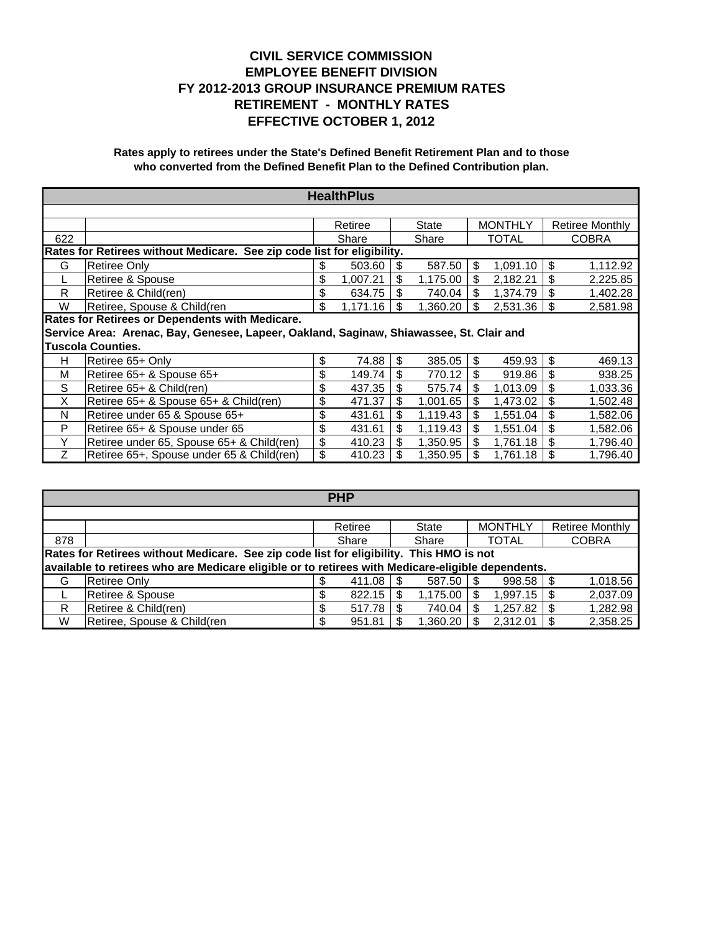|     | <b>HealthPlus</b>                                                                       |    |          |     |          |    |                |    |                 |  |  |
|-----|-----------------------------------------------------------------------------------------|----|----------|-----|----------|----|----------------|----|-----------------|--|--|
|     |                                                                                         |    |          |     |          |    |                |    |                 |  |  |
|     |                                                                                         |    | Retiree  |     | State    |    | <b>MONTHLY</b> |    | Retiree Monthly |  |  |
| 622 |                                                                                         |    | Share    |     | Share    |    | <b>TOTAL</b>   |    | <b>COBRA</b>    |  |  |
|     | Rates for Retirees without Medicare. See zip code list for eligibility.                 |    |          |     |          |    |                |    |                 |  |  |
| G   | Retiree Only                                                                            | \$ | 503.60   | \$  | 587.50   | \$ | 1,091.10       | \$ | 1,112.92        |  |  |
|     | Retiree & Spouse                                                                        | \$ | 1,007.21 | \$. | 1,175.00 | \$ | 2,182.21       | \$ | 2,225.85        |  |  |
| R   | Retiree & Child(ren)                                                                    |    | 634.75   |     | 740.04   | \$ | 1,374.79       | \$ | 1,402.28        |  |  |
| W   | Retiree, Spouse & Child(ren                                                             | \$ | 1,171.16 | \$  | 1,360.20 | \$ | 2,531.36       | \$ | 2,581.98        |  |  |
|     | Rates for Retirees or Dependents with Medicare.                                         |    |          |     |          |    |                |    |                 |  |  |
|     | Service Area: Arenac, Bay, Genesee, Lapeer, Oakland, Saginaw, Shiawassee, St. Clair and |    |          |     |          |    |                |    |                 |  |  |
|     | <b>Tuscola Counties.</b>                                                                |    |          |     |          |    |                |    |                 |  |  |
| н   | Retiree 65+ Only                                                                        | \$ | 74.88    | \$  | 385.05   | \$ | 459.93         | \$ | 469.13          |  |  |
| М   | Retiree 65+ & Spouse 65+                                                                | \$ | 149.74   | \$  | 770.12   | S  | 919.86         | \$ | 938.25          |  |  |
| S   | Retiree 65+ & Child(ren)                                                                | \$ | 437.35   | \$  | 575.74   | \$ | 1,013.09       | \$ | 1,033.36        |  |  |
| X   | Retiree 65+ & Spouse 65+ & Child(ren)                                                   | \$ | 471.37   | \$  | 1,001.65 | \$ | 1,473.02       | \$ | 1,502.48        |  |  |
| N   | Retiree under 65 & Spouse 65+                                                           | \$ | 431.61   | \$. | 1,119.43 | S  | 1,551.04       | \$ | 1,582.06        |  |  |
| P   | Retiree 65+ & Spouse under 65                                                           | \$ | 431.61   | \$  | 1,119.43 | \$ | 1,551.04       | \$ | 1,582.06        |  |  |
| Y   | Retiree under 65, Spouse 65+ & Child(ren)                                               | \$ | 410.23   | \$. | 1,350.95 | \$ | 1,761.18       | \$ | 1,796.40        |  |  |
| Ζ   | Retiree 65+, Spouse under 65 & Child(ren)                                               | \$ | 410.23   |     | 1,350.95 |    | 1,761.18       | \$ | 1,796.40        |  |  |

|                                                                                         | <b>PHP</b>                                                                                        |  |         |  |               |  |                |  |                        |  |  |
|-----------------------------------------------------------------------------------------|---------------------------------------------------------------------------------------------------|--|---------|--|---------------|--|----------------|--|------------------------|--|--|
|                                                                                         |                                                                                                   |  |         |  |               |  |                |  |                        |  |  |
|                                                                                         |                                                                                                   |  | Retiree |  | <b>State</b>  |  | <b>MONTHLY</b> |  | <b>Retiree Monthly</b> |  |  |
| 878                                                                                     |                                                                                                   |  | Share   |  | Share         |  | <b>TOTAL</b>   |  | <b>COBRA</b>           |  |  |
| Rates for Retirees without Medicare. See zip code list for eligibility. This HMO is not |                                                                                                   |  |         |  |               |  |                |  |                        |  |  |
|                                                                                         | available to retirees who are Medicare eligible or to retirees with Medicare-eligible dependents. |  |         |  |               |  |                |  |                        |  |  |
| G                                                                                       | Retiree Only                                                                                      |  | 411.08  |  | $587.50$ \ \$ |  | $998.58$ \ \$  |  | 1,018.56               |  |  |
|                                                                                         | Retiree & Spouse                                                                                  |  | 822.15  |  | 1.175.00      |  | 1.997.15       |  | 2,037.09               |  |  |
| R                                                                                       | Retiree & Child(ren)                                                                              |  | 517.78  |  | 740.04        |  | 1.257.82       |  | 1,282.98               |  |  |
| W                                                                                       | Retiree, Spouse & Child(ren                                                                       |  | 951.81  |  | 1,360.20      |  | 2,312.01       |  | 2,358.25               |  |  |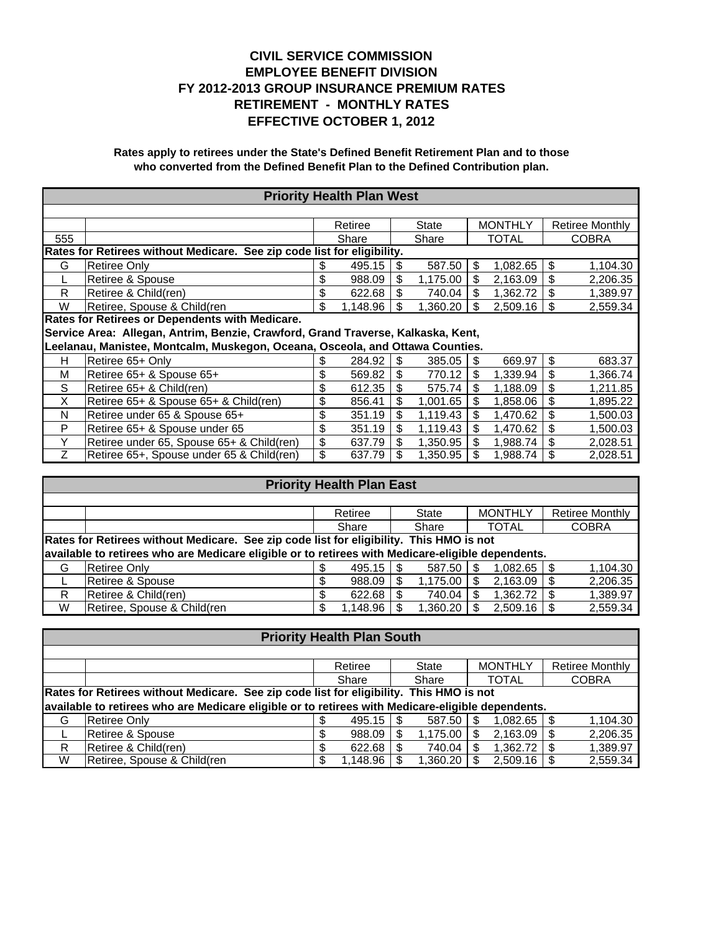| <b>Priority Health Plan West</b> |                                                                                  |       |          |       |          |              |                |              |                        |
|----------------------------------|----------------------------------------------------------------------------------|-------|----------|-------|----------|--------------|----------------|--------------|------------------------|
|                                  |                                                                                  |       |          |       |          |              |                |              |                        |
|                                  |                                                                                  |       | Retiree  |       | State    |              | <b>MONTHLY</b> |              | <b>Retiree Monthly</b> |
| 555                              |                                                                                  | Share |          | Share |          | <b>TOTAL</b> |                | <b>COBRA</b> |                        |
|                                  | Rates for Retirees without Medicare. See zip code list for eligibility.          |       |          |       |          |              |                |              |                        |
| G                                | <b>Retiree Only</b>                                                              | S     | 495.15   |       | 587.50   | \$           | 1,082.65       | \$           | 1,104.30               |
|                                  | Retiree & Spouse                                                                 | \$    | 988.09   | \$    | 1,175.00 | \$           | 2,163.09       | \$           | 2,206.35               |
| R                                | Retiree & Child(ren)                                                             | \$    | 622.68   |       | 740.04   | \$           | 1,362.72       | \$           | 1,389.97               |
| W                                | Retiree, Spouse & Child(ren                                                      | \$.   | 1,148.96 | \$.   | 1,360.20 | \$           | 2,509.16       | \$           | 2,559.34               |
|                                  | Rates for Retirees or Dependents with Medicare.                                  |       |          |       |          |              |                |              |                        |
|                                  | Service Area: Allegan, Antrim, Benzie, Crawford, Grand Traverse, Kalkaska, Kent, |       |          |       |          |              |                |              |                        |
|                                  | Leelanau, Manistee, Montcalm, Muskegon, Oceana, Osceola, and Ottawa Counties.    |       |          |       |          |              |                |              |                        |
| н                                | Retiree 65+ Only                                                                 |       | 284.92   |       | 385.05   | \$.          | 669.97         | \$           | 683.37                 |
| м                                | Retiree 65+ & Spouse 65+                                                         | \$    | 569.82   | \$    | 770.12   | \$           | 1,339.94       | \$           | 1,366.74               |
| S                                | Retiree 65+ & Child(ren)                                                         | \$    | 612.35   | \$    | 575.74   | \$           | 1,188.09       | \$           | 1,211.85               |
| X                                | Retiree 65+ & Spouse 65+ & Child(ren)                                            | \$    | 856.41   | \$    | 1,001.65 | \$           | 1.858.06       | \$           | 1.895.22               |
| N                                | Retiree under 65 & Spouse 65+                                                    | \$    | 351.19   | \$    | 1,119.43 | \$           | 1,470.62       | \$           | 1,500.03               |
| P                                | Retiree 65+ & Spouse under 65                                                    | \$    | 351.19   | \$.   | 1,119.43 | \$           | 1,470.62       | \$           | 1,500.03               |
| Υ                                | Retiree under 65, Spouse 65+ & Child(ren)                                        | \$    | 637.79   |       | 1,350.95 | \$           | 1.988.74       | \$           | 2,028.51               |
| Ζ                                | Retiree 65+, Spouse under 65 & Child(ren)                                        | \$    | 637.79   |       | 1,350.95 | \$           | 1,988.74       | \$           | 2,028.51               |

| <b>Priority Health Plan East</b> |                                                                                                   |  |              |  |          |  |                |      |                        |
|----------------------------------|---------------------------------------------------------------------------------------------------|--|--------------|--|----------|--|----------------|------|------------------------|
|                                  |                                                                                                   |  |              |  |          |  |                |      |                        |
|                                  |                                                                                                   |  | Retiree      |  | State    |  | <b>MONTHLY</b> |      | <b>Retiree Monthly</b> |
|                                  |                                                                                                   |  | Share        |  | Share    |  | <b>TOTAL</b>   |      | <b>COBRA</b>           |
|                                  | Rates for Retirees without Medicare. See zip code list for eligibility. This HMO is not           |  |              |  |          |  |                |      |                        |
|                                  | available to retirees who are Medicare eligible or to retirees with Medicare-eligible dependents. |  |              |  |          |  |                |      |                        |
| G                                | <b>Retiree Only</b>                                                                               |  | $495.15$ \\$ |  | 587.50   |  |                |      | 1,104.30               |
|                                  | Retiree & Spouse                                                                                  |  | 988.09       |  | 1,175.00 |  | 2,163.09       | - \$ | 2,206.35               |
| R                                | Retiree & Child(ren)                                                                              |  | 622.68       |  | 740.04   |  | $1,362.72$ \$  |      | 1,389.97               |
| W                                | Retiree, Spouse & Child(ren                                                                       |  | 1,148.96     |  | 1,360.20 |  | 2,509.16       |      | 2,559.34               |

| <b>Priority Health Plan South</b> |                                                                                                   |  |          |    |              |  |                |      |                        |
|-----------------------------------|---------------------------------------------------------------------------------------------------|--|----------|----|--------------|--|----------------|------|------------------------|
|                                   |                                                                                                   |  |          |    |              |  |                |      |                        |
|                                   |                                                                                                   |  | Retiree  |    | <b>State</b> |  | <b>MONTHLY</b> |      | <b>Retiree Monthly</b> |
|                                   |                                                                                                   |  | Share    |    | Share        |  | <b>TOTAL</b>   |      | <b>COBRA</b>           |
|                                   | Rates for Retirees without Medicare. See zip code list for eligibility. This HMO is not           |  |          |    |              |  |                |      |                        |
|                                   | available to retirees who are Medicare eligible or to retirees with Medicare-eligible dependents. |  |          |    |              |  |                |      |                        |
| G                                 | Retiree Only                                                                                      |  | 495.15   | S. | 587.50       |  | $1,082.65$ \$  |      | 1,104.30               |
|                                   | Retiree & Spouse                                                                                  |  | 988.09   |    | 1,175.00     |  | 2,163.09       |      | 2,206.35               |
| R                                 | Retiree & Child(ren)                                                                              |  | 622.68   |    | 740.04       |  | 1,362.72       | l \$ | 1,389.97               |
| W                                 | Retiree, Spouse & Child(ren                                                                       |  | 1,148.96 |    | 1,360.20     |  | 2,509.16       |      | 2,559.34               |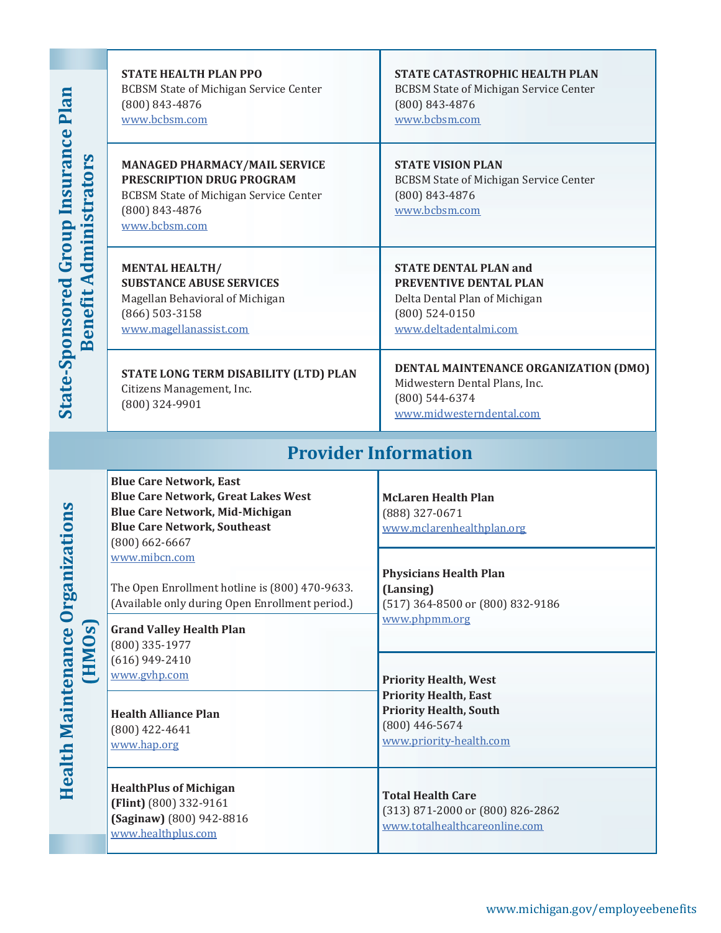**Health Maintenance Organizations** 

**Health Maintenance Organizations** 

|                        | <b>STATE HEALTH PLAN PPO</b><br><b>BCBSM State of Michigan Service Center</b><br>(800) 843-4876<br>www.bcbsm.com                                                                                     | <b>STATE CATASTROPHIC HEALTH PLAN</b><br><b>BCBSM State of Michigan Service Center</b><br>(800) 843-4876<br>www.bcbsm.com            |  |  |  |  |  |
|------------------------|------------------------------------------------------------------------------------------------------------------------------------------------------------------------------------------------------|--------------------------------------------------------------------------------------------------------------------------------------|--|--|--|--|--|
|                        | <b>MANAGED PHARMACY/MAIL SERVICE</b><br>PRESCRIPTION DRUG PROGRAM<br><b>BCBSM State of Michigan Service Center</b><br>(800) 843-4876<br>www.bcbsm.com                                                | <b>STATE VISION PLAN</b><br><b>BCBSM State of Michigan Service Center</b><br>(800) 843-4876<br>www.bcbsm.com                         |  |  |  |  |  |
| Benefit Administrators | <b>MENTAL HEALTH/</b><br><b>SUBSTANCE ABUSE SERVICES</b><br>Magellan Behavioral of Michigan<br>(866) 503-3158<br>www.magellanassist.com                                                              | <b>STATE DENTAL PLAN and</b><br>PREVENTIVE DENTAL PLAN<br>Delta Dental Plan of Michigan<br>$(800)$ 524-0150<br>www.deltadentalmi.com |  |  |  |  |  |
|                        | STATE LONG TERM DISABILITY (LTD) PLAN<br>Citizens Management, Inc.<br>(800) 324-9901                                                                                                                 | DENTAL MAINTENANCE ORGANIZATION (DMO)<br>Midwestern Dental Plans, Inc.<br>(800) 544-6374<br>www.midwesterndental.com                 |  |  |  |  |  |
|                        |                                                                                                                                                                                                      | <b>Provider Information</b>                                                                                                          |  |  |  |  |  |
|                        | <b>Blue Care Network, East</b><br><b>Blue Care Network, Great Lakes West</b><br><b>Blue Care Network, Mid-Michigan</b><br><b>Blue Care Network, Southeast</b><br>$(800) 662 - 6667$<br>www.mibcn.com | <b>McLaren Health Plan</b><br>(888) 327-0671<br>www.mclarenhealthplan.org                                                            |  |  |  |  |  |
| (HMOs)                 | The Open Enrollment hotline is (800) 470-9633.<br>(Available only during Open Enrollment period.)                                                                                                    | <b>Physicians Health Plan</b><br>(Lansing)<br>(517) 364-8500 or (800) 832-9186                                                       |  |  |  |  |  |
|                        | <b>Grand Valley Health Plan</b><br>(800) 335-1977<br>$(616)$ 949-2410<br>www.gvhp.com                                                                                                                | www.phpmm.org<br><b>Priority Health, West</b>                                                                                        |  |  |  |  |  |
|                        | <b>Health Alliance Plan</b><br>$(800)$ 422-4641<br>www.hap.org                                                                                                                                       | <b>Priority Health, East</b><br><b>Priority Health, South</b><br>$(800)$ 446-5674<br>www.priority-health.com                         |  |  |  |  |  |
|                        | <b>HealthPlus of Michigan</b><br>(Flint) (800) 332-9161<br>(Saginaw) (800) 942-8816<br>www.healthplus.com                                                                                            | <b>Total Health Care</b><br>(313) 871-2000 or (800) 826-2862<br>www.totalhealthcareonline.com                                        |  |  |  |  |  |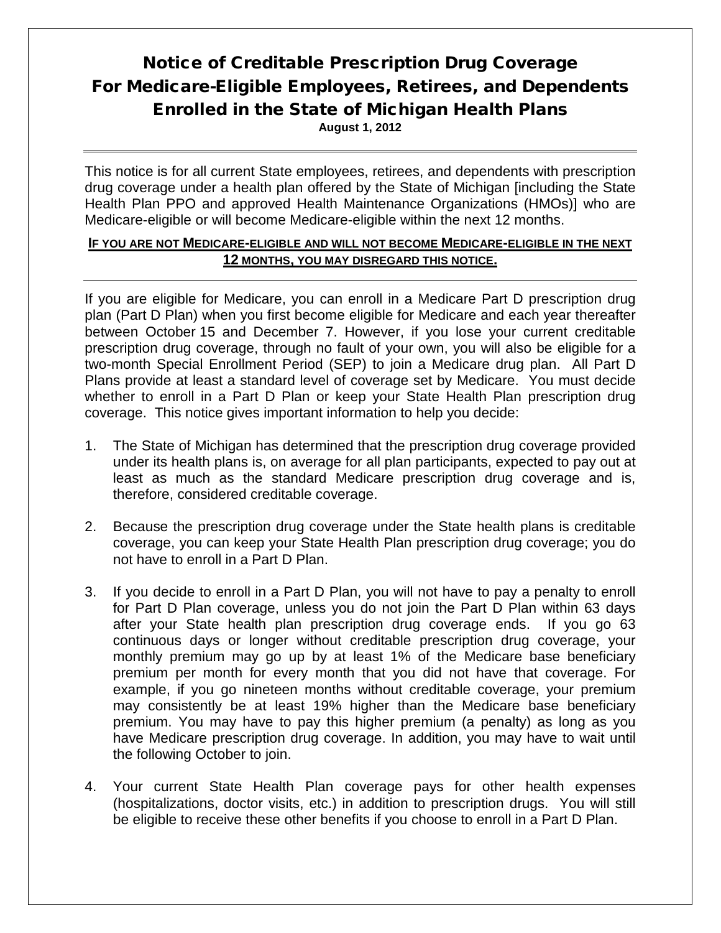# Notice of Creditable Prescription Drug Coverage For Medicare-Eligible Employees, Retirees, and Dependents Enrolled in the State of Michigan Health Plans

**August 1, 2012**

This notice is for all current State employees, retirees, and dependents with prescription drug coverage under a health plan offered by the State of Michigan [including the State Health Plan PPO and approved Health Maintenance Organizations (HMOs)] who are Medicare-eligible or will become Medicare-eligible within the next 12 months.

### **IF YOU ARE NOT MEDICARE-ELIGIBLE AND WILL NOT BECOME MEDICARE-ELIGIBLE IN THE NEXT 12 MONTHS, YOU MAY DISREGARD THIS NOTICE.**

If you are eligible for Medicare, you can enroll in a Medicare Part D prescription drug plan (Part D Plan) when you first become eligible for Medicare and each year thereafter between October 15 and December 7. However, if you lose your current creditable prescription drug coverage, through no fault of your own, you will also be eligible for a two-month Special Enrollment Period (SEP) to join a Medicare drug plan. All Part D Plans provide at least a standard level of coverage set by Medicare. You must decide whether to enroll in a Part D Plan or keep your State Health Plan prescription drug coverage. This notice gives important information to help you decide:

- 1. The State of Michigan has determined that the prescription drug coverage provided under its health plans is, on average for all plan participants, expected to pay out at least as much as the standard Medicare prescription drug coverage and is, therefore, considered creditable coverage.
- 2. Because the prescription drug coverage under the State health plans is creditable coverage, you can keep your State Health Plan prescription drug coverage; you do not have to enroll in a Part D Plan.
- 3. If you decide to enroll in a Part D Plan, you will not have to pay a penalty to enroll for Part D Plan coverage, unless you do not join the Part D Plan within 63 days after your State health plan prescription drug coverage ends. If you go 63 continuous days or longer without creditable prescription drug coverage, your monthly premium may go up by at least 1% of the Medicare base beneficiary premium per month for every month that you did not have that coverage. For example, if you go nineteen months without creditable coverage, your premium may consistently be at least 19% higher than the Medicare base beneficiary premium. You may have to pay this higher premium (a penalty) as long as you have Medicare prescription drug coverage. In addition, you may have to wait until the following October to join.
- 4. Your current State Health Plan coverage pays for other health expenses (hospitalizations, doctor visits, etc.) in addition to prescription drugs. You will still be eligible to receive these other benefits if you choose to enroll in a Part D Plan.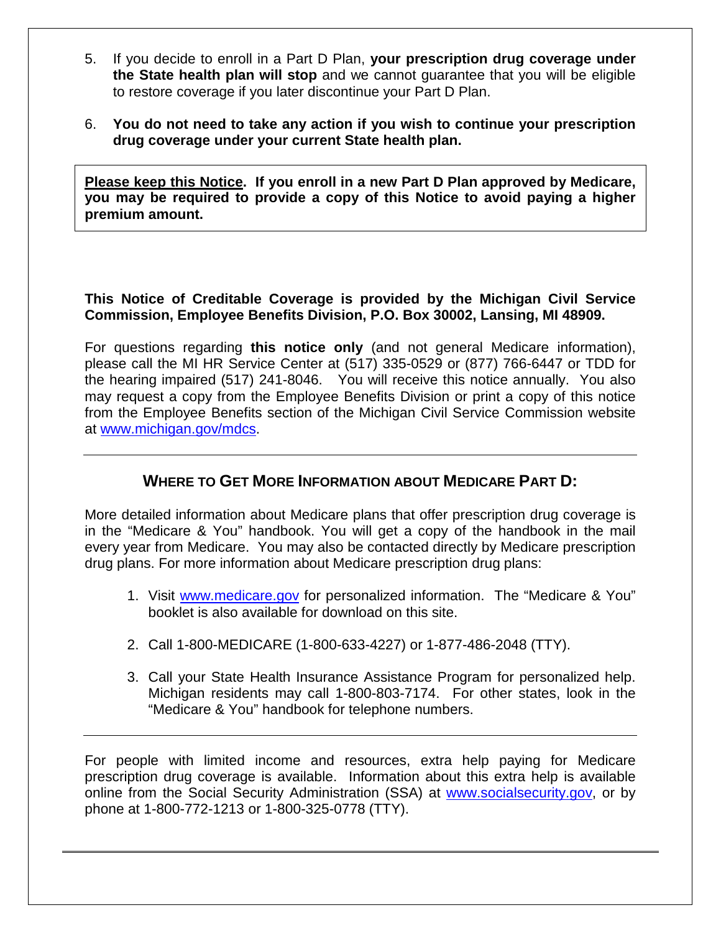- 5. If you decide to enroll in a Part D Plan, **your prescription drug coverage under the State health plan will stop** and we cannot guarantee that you will be eligible to restore coverage if you later discontinue your Part D Plan.
- 6. **You do not need to take any action if you wish to continue your prescription drug coverage under your current State health plan.**

**Please keep this Notice. If you enroll in a new Part D Plan approved by Medicare, you may be required to provide a copy of this Notice to avoid paying a higher premium amount.** 

# **This Notice of Creditable Coverage is provided by the Michigan Civil Service Commission, Employee Benefits Division, P.O. Box 30002, Lansing, MI 48909.**

For questions regarding **this notice only** (and not general Medicare information), please call the MI HR Service Center at (517) 335-0529 or (877) 766-6447 or TDD for the hearing impaired (517) 241-8046. You will receive this notice annually. You also may request a copy from the Employee Benefits Division or print a copy of this notice from the Employee Benefits section of the Michigan Civil Service Commission website at [www.michigan.gov/mdcs.](http://www.michigan.gov/mdcs)

# **WHERE TO GET MORE INFORMATION ABOUT MEDICARE PART D:**

More detailed information about Medicare plans that offer prescription drug coverage is in the "Medicare & You" handbook. You will get a copy of the handbook in the mail every year from Medicare. You may also be contacted directly by Medicare prescription drug plans. For more information about Medicare prescription drug plans:

- 1. Visit [www.medicare.gov](http://www.medicare.gov/) for personalized information. The "Medicare & You" booklet is also available for download on this site.
- 2. Call 1-800-MEDICARE (1-800-633-4227) or 1-877-486-2048 (TTY).
- 3. Call your State Health Insurance Assistance Program for personalized help. Michigan residents may call 1-800-803-7174. For other states, look in the "Medicare & You" handbook for telephone numbers.

For people with limited income and resources, extra help paying for Medicare prescription drug coverage is available. Information about this extra help is available online from the Social Security Administration (SSA) at [www.socialsecurity.gov,](http://www.socialsecurity.gov/) or by phone at 1-800-772-1213 or 1-800-325-0778 (TTY).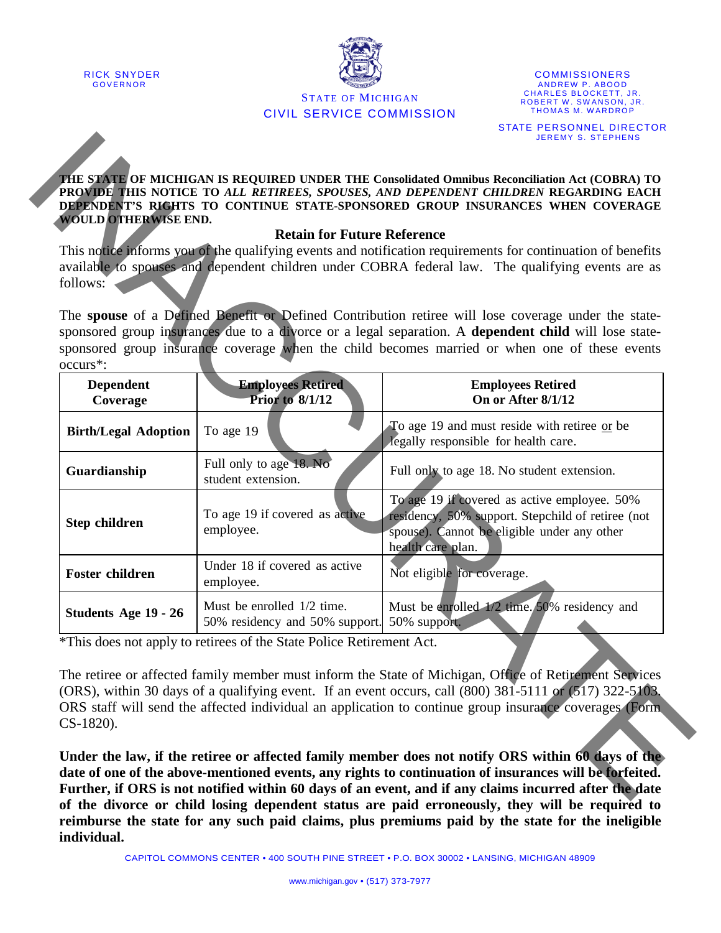



**COMMISSIONERS** ANDREW P. ABOOD CHARLES BLOCKETT, JR. ROBERT W. SWANSON, JR. THOMAS M. WARDROP STATE PERSONNEL DIRECTOR JEREMY S. STEPHENS

#### **THE STATE OF MICHIGAN IS REQUIRED UNDER THE Consolidated Omnibus Reconciliation Act (COBRA) TO PROVIDE THIS NOTICE TO** *ALL RETIREES, SPOUSES, AND DEPENDENT CHILDREN* **REGARDING EACH DEPENDENT'S RIGHTS TO CONTINUE STATE-SPONSORED GROUP INSURANCES WHEN COVERAGE WOULD OTHERWISE END.**

#### **Retain for Future Reference**

| <b>WOULD OTHERWISE END.</b>  | <b>Retain for Future Reference</b>                                        | This notice informs you of the qualifying events and notification requirements for continuation of benefits                                                                                                                                                                                                                 |
|------------------------------|---------------------------------------------------------------------------|-----------------------------------------------------------------------------------------------------------------------------------------------------------------------------------------------------------------------------------------------------------------------------------------------------------------------------|
| follows:                     |                                                                           | available to spouses and dependent children under COBRA federal law. The qualifying events are as                                                                                                                                                                                                                           |
| occurs <sup>*</sup> :        |                                                                           | The spouse of a Defined Benefit or Defined Contribution retiree will lose coverage under the state-<br>sponsored group insurances due to a divorce or a legal separation. A dependent child will lose state-<br>sponsored group insurance coverage when the child becomes married or when one of these events               |
| <b>Dependent</b><br>Coverage | <b>Employees Retired</b><br><b>Prior to 8/1/12</b>                        | <b>Employees Retired</b><br>On or After 8/1/12                                                                                                                                                                                                                                                                              |
| <b>Birth/Legal Adoption</b>  | To age 19                                                                 | To age 19 and must reside with retiree or be<br>legally responsible for health care.                                                                                                                                                                                                                                        |
| Guardianship                 | Full only to age 18. No<br>student extension.                             | Full only to age 18. No student extension.                                                                                                                                                                                                                                                                                  |
| Step children                | To age 19 if covered as active<br>employee.                               | To age 19 if covered as active employee. 50%<br>residency, 50% support. Stepchild of retiree (not<br>spouse). Cannot be eligible under any other<br>health care plan.                                                                                                                                                       |
| <b>Foster children</b>       | Under 18 if covered as active<br>employee.                                | Not eligible for coverage.                                                                                                                                                                                                                                                                                                  |
| Students Age 19 - 26         | Must be enrolled 1/2 time.<br>50% residency and 50% support. 50% support. | Must be enrolled 1/2 time. 50% residency and                                                                                                                                                                                                                                                                                |
| CS-1820).                    | *This does not apply to retirees of the State Police Retirement Act.      | The retiree or affected family member must inform the State of Michigan, Office of Retirement Services<br>(ORS), within 30 days of a qualifying event. If an event occurs, call (800) 381-5111 or (517) 322-5103.<br>ORS staff will send the affected individual an application to continue group insurance coverages (Form |

**Under the law, if the retiree or affected family member does not notify ORS within 60 days of the date of one of the above-mentioned events, any rights to continuation of insurances will be forfeited. Further, if ORS is not notified within 60 days of an event, and if any claims incurred after the date of the divorce or child losing dependent status are paid erroneously, they will be required to reimburse the state for any such paid claims, plus premiums paid by the state for the ineligible individual.**